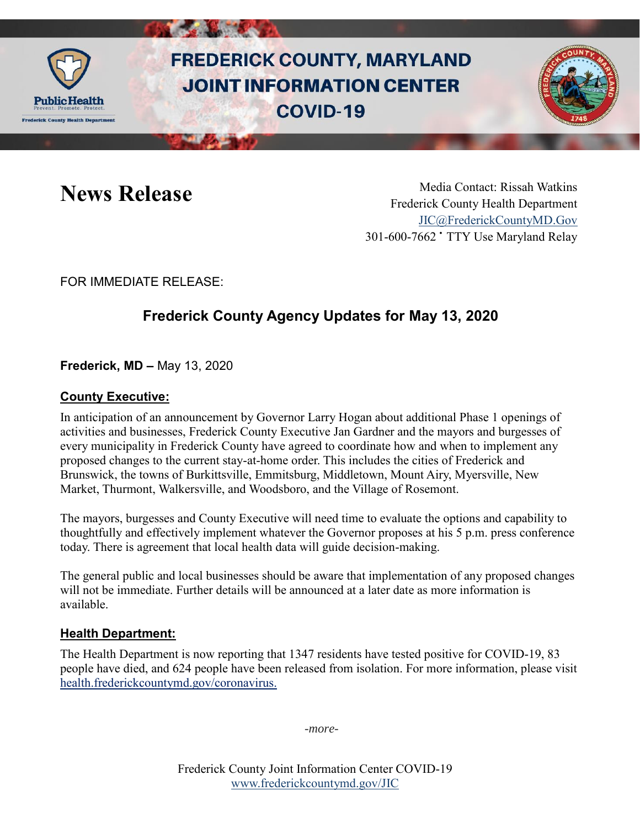

# **FREDERICK COUNTY, MARYLAND JOINT INFORMATION CENTER COVID-19**



News Release Media Contact: Rissah Watkins Frederick County Health Department [JIC@FrederickCountyMD.Gov](mailto:JIC@FrederickCountyMD.Gov) 301-600-7662 • TTY Use Maryland Relay

FOR IMMEDIATE RELEASE:

## **Frederick County Agency Updates for May 13, 2020**

**Frederick, MD –** May 13, 2020

#### **County Executive:**

In anticipation of an announcement by Governor Larry Hogan about additional Phase 1 openings of activities and businesses, Frederick County Executive Jan Gardner and the mayors and burgesses of every municipality in Frederick County have agreed to coordinate how and when to implement any proposed changes to the current stay-at-home order. This includes the cities of Frederick and Brunswick, the towns of Burkittsville, Emmitsburg, Middletown, Mount Airy, Myersville, New Market, Thurmont, Walkersville, and Woodsboro, and the Village of Rosemont.

The mayors, burgesses and County Executive will need time to evaluate the options and capability to thoughtfully and effectively implement whatever the Governor proposes at his 5 p.m. press conference today. There is agreement that local health data will guide decision-making.

The general public and local businesses should be aware that implementation of any proposed changes will not be immediate. Further details will be announced at a later date as more information is available.

#### **Health Department:**

The Health Department is now reporting that 1347 residents have tested positive for COVID-19, 83 people have died, and 624 people have been released from isolation. For more information, please visit [health.frederickcountymd.gov/coronavirus.](https://health.frederickcountymd.gov/614/Novel-Coronavirus-COVID-19)

*-more-*

Frederick County Joint Information Center COVID-19 [www.frederickcountymd.gov/JIC](https://frederickcountymd.gov/JIC)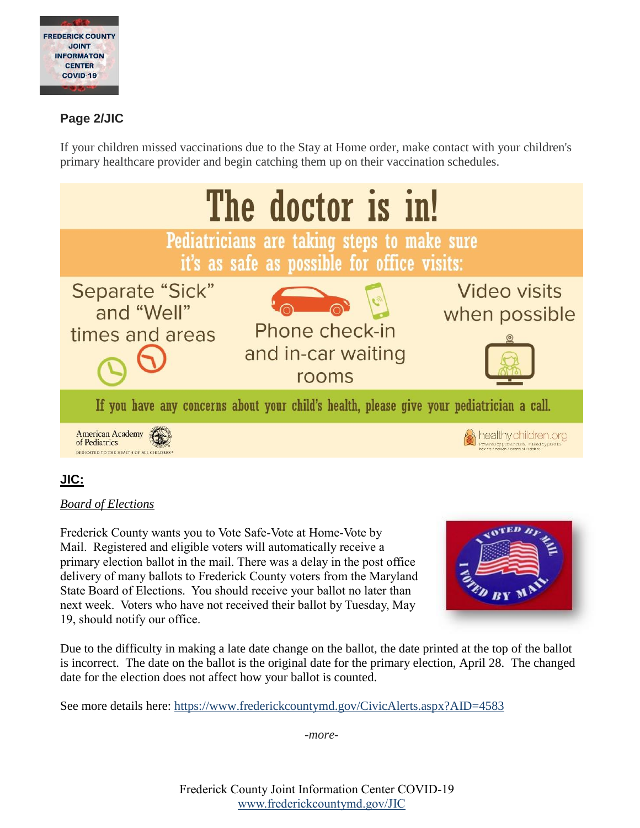

### **Page 2/JIC**

If your children missed vaccinations due to the Stay at Home order, make contact with your children's primary healthcare provider and begin catching them up on their vaccination schedules.



#### **JIC:**

#### *Board of Elections*

Frederick County wants you to Vote Safe-Vote at Home-Vote by Mail. Registered and eligible voters will automatically receive a primary election ballot in the mail. There was a delay in the post office delivery of many ballots to Frederick County voters from the Maryland State Board of Elections. You should receive your ballot no later than next week. Voters who have not received their ballot by Tuesday, May 19, should notify our office.



Due to the difficulty in making a late date change on the ballot, the date printed at the top of the ballot is incorrect. The date on the ballot is the original date for the primary election, April 28. The changed date for the election does not affect how your ballot is counted.

See more details here:<https://www.frederickcountymd.gov/CivicAlerts.aspx?AID=4583>

*-more-*